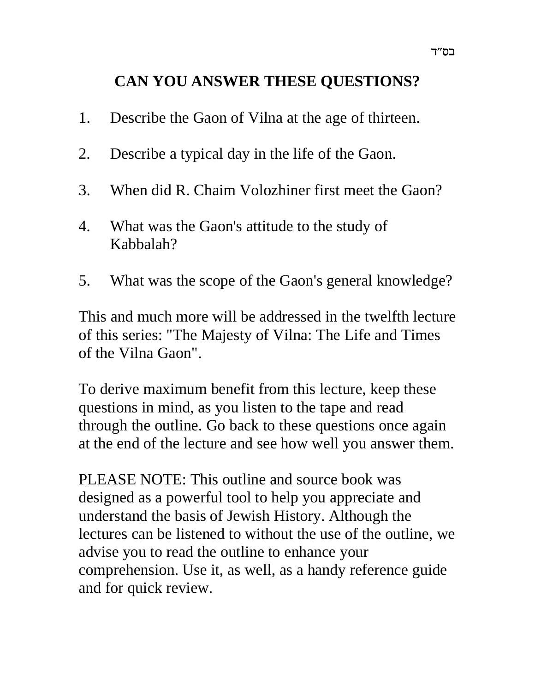# **CAN YOU ANSWER THESE QUESTIONS?**

- 1. Describe the Gaon of Vilna at the age of thirteen.
- 2. Describe a typical day in the life of the Gaon.
- 3. When did R. Chaim Volozhiner first meet the Gaon?
- 4. What was the Gaon's attitude to the study of Kabbalah?
- 5. What was the scope of the Gaon's general knowledge?

This and much more will be addressed in the twelfth lecture of this series: "The Majesty of Vilna: The Life and Times of the Vilna Gaon".

To derive maximum benefit from this lecture, keep these questions in mind, as you listen to the tape and read through the outline. Go back to these questions once again at the end of the lecture and see how well you answer them.

PLEASE NOTE: This outline and source book was designed as a powerful tool to help you appreciate and understand the basis of Jewish History. Although the lectures can be listened to without the use of the outline, we advise you to read the outline to enhance your comprehension. Use it, as well, as a handy reference guide and for quick review.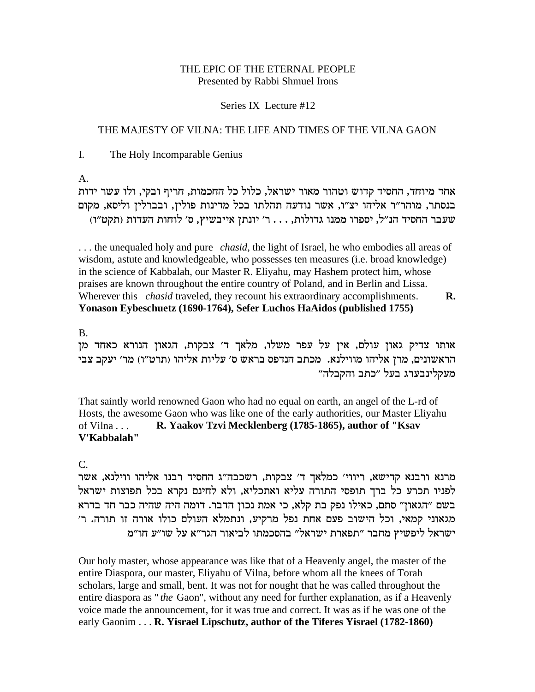#### THE EPIC OF THE ETERNAL PEOPLE Presented by Rabbi Shmuel Irons

#### Series IX Lecture #12

### THE MAJESTY OF VILNA: THE LIFE AND TIMES OF THE VILNA GAON

 $\mathbf{I}$ . The Holy Incomparable Genius

 $A<sub>1</sub>$ 

אחד מיוחד, החסיד קדוש וטהור מאור ישראל, כלול כל החכמות, חריף ובקי, ולו עשר ידות בנסתר, מוהר״ר אליהו יצ״ו, אשר נודעה תהלתו בכל מדינות פולין, ובברלין וליסא, מקום שעבר החסיד הנ"ל, יספרו ממנו גדולות, . . . ר' יונתן אייבשיץ, ס' לוחות העדות (תקט"ו)

... the unequaled holy and pure *chasid*, the light of Israel, he who embodies all areas of wisdom, astute and knowledgeable, who possesses ten measures (i.e. broad knowledge) in the science of Kabbalah, our Master R. Eliyahu, may Hashem protect him, whose praises are known throughout the entire country of Poland, and in Berlin and Lissa. Wherever this *chasid* traveled, they recount his extraordinary accomplishments. R. Yonason Eybeschuetz (1690-1764), Sefer Luchos HaAidos (published 1755)

 $B<sub>1</sub>$ 

אותו צדיק גאון עולם, אין על עפר משלו, מלאך ד׳ צבקות, הגאון הנורא כאחד מן הראשונים, מרן אליהו מווילנא. מכתב הנדפס בראש ס׳ עליות אליהו (תרט״ו) מר׳ יעקב צבי מעקלינבערג בעל "כתב והקבלה"

That saintly world renowned Gaon who had no equal on earth, an angel of the L-rd of Hosts, the awesome Gaon who was like one of the early authorities, our Master Eliyahu of Vilna  $\ldots$ R. Yaakov Tzvi Mecklenberg (1785-1865), author of "Ksav V'Kabbalah"

 $C_{\cdot}$ 

מרנא ורבנא קדישא, ריווי' כמלאך ד' צבקות, רשכבה"ג החסיד רבנו אליהו ווילנא, אשר לפניו תכרע כל ברך תופסי התורה עליא ואתכליא, ולא לחינם נקרא בכל תפוצות ישראל בשם "הגאון" סתם, כאילו נפק בת קלא, כי אמת נכון הדבר. דומה היה שהיה כבר חד בדרא מגאוני קמאי, וכל הישוב פעם אחת נפל מרקיע, ונתמלא העולם כולו אורה זו תורה. ר' ישראל ליפשיץ מחבר "תפארת ישראל" בהסכמתו לביאור הגר"א על שו"ע חו"מ

Our holy master, whose appearance was like that of a Heavenly angel, the master of the entire Diaspora, our master, Eliyahu of Vilna, before whom all the knees of Torah scholars, large and small, bent. It was not for nought that he was called throughout the entire diaspora as "*the* Gaon", without any need for further explanation, as if a Heavenly voice made the announcement, for it was true and correct. It was as if he was one of the early Gaonim . . . R. Yisrael Lipschutz, author of the Tiferes Yisrael (1782-1860)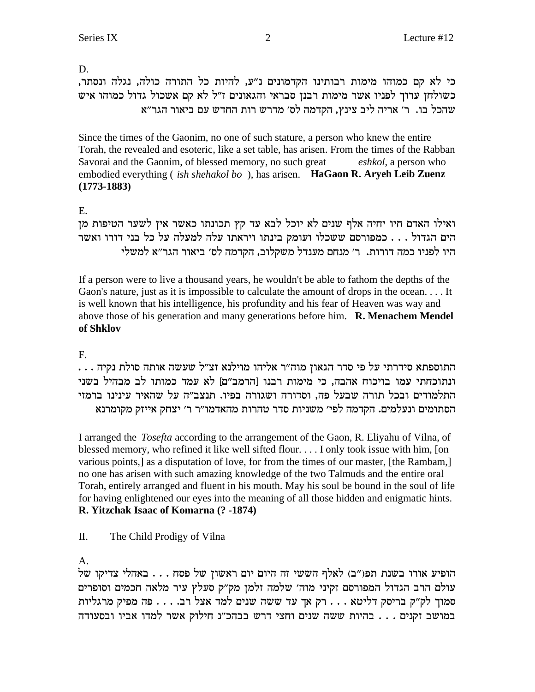D.

כי לא קם כמוהו מימות רבותינו הקדמונים נ״ע, להיות כל התורה כולה, נגלה ונסתר, כשולחן ערוך לפניו אשר מימות רבנן סבראי והגאונים ז"ל לא קם אשכול גדול כמוהו איש שהכל בו. ר' אריה ליב צינץ, הקדמה לס' מדרש רות החדש עם ביאור הגר"א

Since the times of the Gaonim, no one of such stature, a person who knew the entire Torah, the revealed and esoteric, like a set table, has arisen. From the times of the Rabban Savorai and the Gaonim, of blessed memory, no such great *eshkol*, a person who embodied everything (*ish shehakol bo*), has arisen. **HaGaon R. Aryeh Leib Zuenz**  $(1773-1883)$ 

E.

ואילו האדם חיו יחיה אלף שנים לא יוכל לבא עד קץ תכונתו כאשר אין לשער הטיפות מן הים הגדול . . . כמפורסם ששכלו ועומק בינתו ויראתו עלה למעלה על כל בני דורו ואשר היו לפניו כמה דורות. ר׳ מנחם מענדל משקלוב, הקדמה לס׳ ביאור הגר״א למשלי

If a person were to live a thousand years, he wouldn't be able to fathom the depths of the Gaon's nature, just as it is impossible to calculate the amount of drops in the ocean.... It is well known that his intelligence, his profundity and his fear of Heaven was way and above those of his generation and many generations before him. R. Menachem Mendel of Shklov

# $F<sub>r</sub>$

. . . התוספתא סידרתי על פי סדר הגאון מוה"ר אליהו מוילנא זצ"ל שעשה אותה סולת נקיה ונתוכחתי עמו בויכוח אהבה, כי מימות רבנו [הרמב"ם] לא עמד כמותו לב מבהיל בשני התלמודים ובכל תורה שבעל פה, וסדורה ושגורה בפיו. תנצב"ה על שהאיר עינינו ברמזי הסתומים ונעלמים. הקדמה לפי׳ משניות סדר טהרות מהאדמו״ר ר׳ יצחק אייזק מקומרנא

I arranged the *Tosefta* according to the arrangement of the Gaon, R. Eliyahu of Vilna, of blessed memory, who refined it like well sifted flour. . . . I only took issue with him, [on various points,] as a disputation of love, for from the times of our master, [the Rambam,] no one has arisen with such amazing knowledge of the two Talmuds and the entire oral Torah, entirely arranged and fluent in his mouth. May his soul be bound in the soul of life for having enlightened our eyes into the meaning of all those hidden and enigmatic hints. R. Yitzchak Isaac of Komarna (? -1874)

#### $\Pi$ . The Child Prodigy of Vilna

# $\mathbf{A}$

הופיע אורו בשנת תפו"ב) לאלף הששי זה היום יום ראשון של פסח . . . באהלי צדיקו של עולם הרב הגדול המפורסם זקיני מוה' שלמה זלמן מק"ק סעלץ עיר מלאה חכמים וסופרים סמוך לק"ק בריסק דליטא . . . רק אך עד ששה שנים למד אצל רב. . . . פה מפיק מרגליות במושב זקנים . . . בהיות ששה שנים וחצי דרש בבהכ"נ חילוק אשר למדו אביו ובסעודה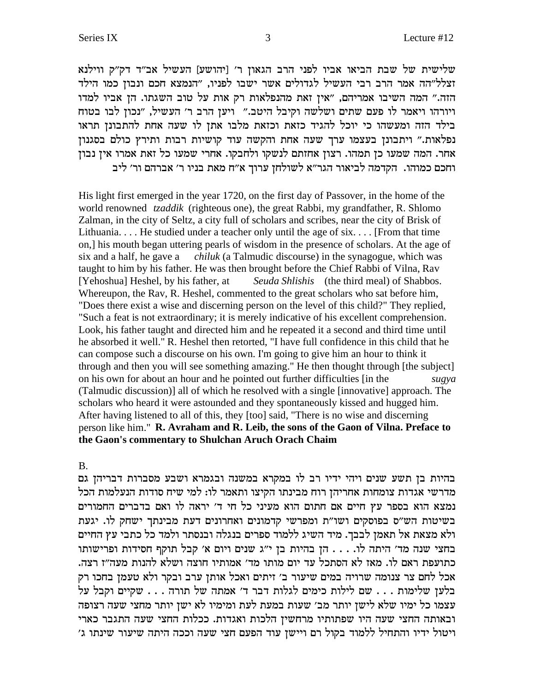שלישית של שבת הביאו אביו לפני הרב הגאון ר׳ [יהושע] העשיל אב״ד דק״ק ווילנא זצלל"הה אמר הרב רבי העשיל לגדולים אשר ישבו לפניו, "הנמצא חכם ונבון כמו הילד הזה." המה השיבו אמריהם, "אין זאת מהנפלאות רק אות על טוב השגתו. הן אביו למדו ויורהו ויאמר לו פעם שתים ושלשה וקיבל היטב." ויען הרב ר' העשיל, "נכון לבו בטוח בילד הזה ומעשהו כי יוכל להגיד כזאת וכזאת מלבו אתן לו שעה אחת להתבונן תראו נפלאות." ויתבונן בעצמו ערך שעה אחת והקשה עוד קושיות רבות ותירץ כולם בסגנון אחר. המה שמעו כן תמהו. רצון אחזתם לנשקו ולחבקו. אחרי שמעו כל זאת אמרו אין נבון וחכם כמוהו. הקדמה לביאור הגר"א לשולחן ערוך א"ח מאת בניו ר' אברהם ור' ליב

His light first emerged in the year 1720, on the first day of Passover, in the home of the world renowned *tzaddik* (righteous one), the great Rabbi, my grandfather, R. Shlomo Zalman, in the city of Seltz, a city full of scholars and scribes, near the city of Brisk of Lithuania... He studied under a teacher only until the age of  $six$ ... [From that time on,] his mouth began uttering pearls of wisdom in the presence of scholars. At the age of six and a half, he gave a chiluk (a Talmudic discourse) in the synagogue, which was taught to him by his father. He was then brought before the Chief Rabbi of Vilna, Rav [Yehoshua] Heshel, by his father, at Seuda Shlishis (the third meal) of Shabbos. Whereupon, the Rav, R. Heshel, commented to the great scholars who sat before him, "Does there exist a wise and discerning person on the level of this child?" They replied, "Such a feat is not extraordinary; it is merely indicative of his excellent comprehension. Look, his father taught and directed him and he repeated it a second and third time until he absorbed it well." R. Heshel then retorted, "I have full confidence in this child that he can compose such a discourse on his own. I'm going to give him an hour to think it through and then you will see something amazing." He then thought through [the subject] on his own for about an hour and he pointed out further difficulties [in the sugya (Talmudic discussion)] all of which he resolved with a single [innovative] approach. The scholars who heard it were astounded and they spontaneously kissed and hugged him. After having listened to all of this, they [too] said, "There is no wise and discerning person like him." R. Avraham and R. Leib, the sons of the Gaon of Vilna. Preface to the Gaon's commentary to Shulchan Aruch Orach Chaim

 $B<sub>1</sub>$ 

בהיות בן תשע שנים ויהי ידיו רב לו במקרא במשנה ובגמרא ושבע מסברות דבריהן גם מדרשי אגדות צומחות אחריהן רוח מבינתו הקיצו ותאמר לו: למי שיח סודות הנעלמות הכל נמצא הוא בספר עץ חיים אם חתום הוא מעיני כל חי ד׳ יראה לו ואם בדברים החמורים בשיטות הש"ס בפוסקים ושו"ת ומפרשי קדמונים ואחרונים דעת מבינתך ישחק לו. יגעת ולא מצאת אל תאמן לבבך. מיד השיג ללמוד ספרים בנגלה ובנסתר ולמד כל כתבי עץ החיים בחצי שנה מד' היתה לו. . . . הן בהיות בן י"ג שנים ויום א' קבל תוקף חסידות ופרישותו כתועפת ראם לו. מאז לא הסתכל עד יום מותו מד׳ אמותיו חוצה ושלא להנות מעה״ז רצה. אכל לחם צר צנומה שרויה במים שיעור ב׳ זיתים ואכל אותן ערב ובקר ולא טעמן בחכו רק בלען שלימות . . . שם לילות כימים לגלות דבר ד' אמתה של תורה . . . שקיים וקבל על עצמו כל ימיו שלא לישן יותר מב׳ שעות במעת לעת ומימיו לא ישן יותר מחצי שעה רצופה ובאותה החצי שעה היו שפתותיו מרחשין הלכות ואגדות. ככלות החצי שעה התגבר כארי ויטול ידיו והתחיל ללמוד בקול רם ויישן עוד הפעם חצי שעה וככה היתה שיעור שינתו ג'

3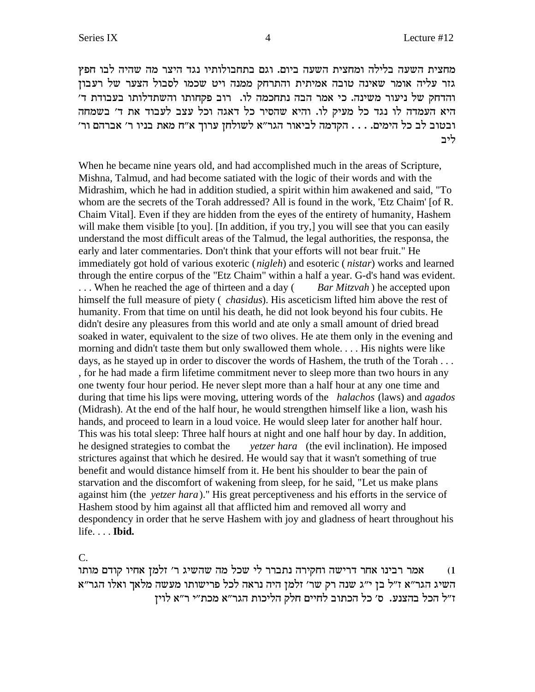מחצית השעה בלילה ומחצית השעה ביום. וגם בתחבולותיו נגד היצר מה שהיה לבו חפץ גזר עליה אומר שאינה טובה אמיתית והתרחק ממנה ויט שכמו לסבול הצער של רעבון והדחק של ניעור משינה. כי אמר הבה נתחכמה לו. רוב פקחותו והשתדלותו בעבודת ד' היא העמדה לו נגד כל מעיק לו. והיא שהסיר כל דאגה וכל עצב לעבוד את ד' בשמחה 'ובטוב לב כל הימים. . . . הקדמה לביאור הגר"א לשולחן ערוך א"ח מאת בניו ר' אברהם ור ליב

When he became nine years old, and had accomplished much in the areas of Scripture, Mishna, Talmud, and had become satiated with the logic of their words and with the Midrashim, which he had in addition studied, a spirit within him awakened and said, "To whom are the secrets of the Torah addressed? All is found in the work, 'Etz Chaim' [of R. Chaim Vital]. Even if they are hidden from the eyes of the entirety of humanity, Hashem will make them visible [to you]. [In addition, if you try,] you will see that you can easily understand the most difficult areas of the Talmud, the legal authorities, the responsa, the early and later commentaries. Don't think that your efforts will not bear fruit." He immediately got hold of various exoteric (*nigleh*) and esoteric ( *nistar*) works and learned through the entire corpus of the "Etz Chaim" within a half a year. G-d's hand was evident. ... When he reached the age of thirteen and a day (*Bar Mitzvah*) he accepted upon himself the full measure of piety ( *chasidus*). His asceticism lifted him above the rest of humanity. From that time on until his death, he did not look beyond his four cubits. He didn't desire any pleasures from this world and ate only a small amount of dried bread soaked in water, equivalent to the size of two olives. He ate them only in the evening and morning and didn't taste them but only swallowed them whole. . . . His nights were like days, as he stayed up in order to discover the words of Hashem, the truth of the Torah . . . , for he had made a firm lifetime commitment never to sleep more than two hours in any one twenty four hour period. He never slept more than a half hour at any one time and during that time his lips were moving, uttering words of the *halachos* (laws) and *agados* (Midrash). At the end of the half hour, he would strengthen himself like a lion, wash his hands, and proceed to learn in a loud voice. He would sleep later for another half hour. This was his total sleep: Three half hours at night and one half hour by day. In addition, he designed strategies to combat the *yetzer hara* (the evil inclination). He imposed strictures against that which he desired. He would say that it wasn't something of true benefit and would distance himself from it. He bent his shoulder to bear the pain of starvation and the discomfort of wakening from sleep, for he said, "Let us make plans against him (the *yetzer hara*)." His great perceptiveness and his efforts in the service of Hashem stood by him against all that afflicted him and removed all worry and despondency in order that he serve Hashem with joy and gladness of heart throughout his life. . . . **Ibid.**

C.

אמר רבינו אחר דרישה וחקירה נתברר לי שכל מה שהשיג ר' זלמן אחיו קודם מותו השיג הגר"א ז"ל בן י"ג שנה רק שר' זלמן היה נראה לכל פרישותו מעשה מלאך ואלו הגר"א ז"ל הכל בהצנע. ס' כל הכתוב לחיים חלק הליכות הגר"א מכת"י ר"א לויז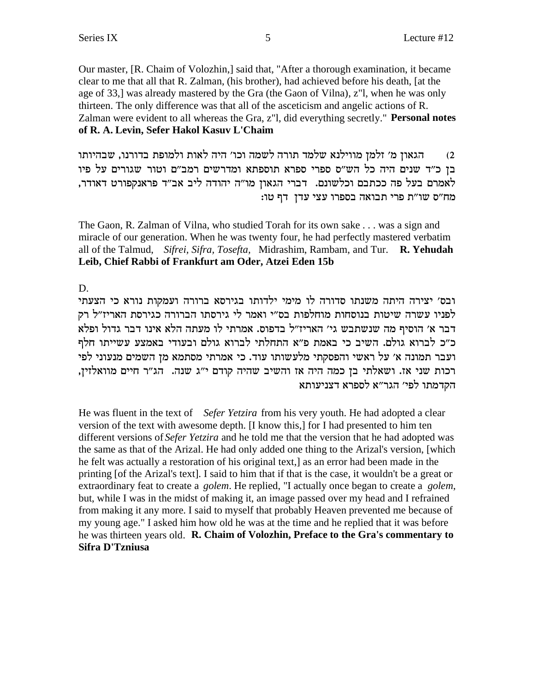Our master, [R. Chaim of Volozhin,] said that, "After a thorough examination, it became clear to me that all that R. Zalman, (his brother), had achieved before his death, [at the age of 33,] was already mastered by the Gra (the Gaon of Vilna), z'l, when he was only thirteen. The only difference was that all of the asceticism and angelic actions of R. Zalman were evident to all whereas the Gra, z"l, did everything secretly." Personal notes of R. A. Levin, Sefer Hakol Kasuv L'Chaim

הגאון מ׳ זלמן מווילנא שלמד תורה לשמה וכו׳ היה לאות ולמופת בדורנו, שבהיותו  $(2)$ בן כ״ד שנים היה כל הש״ס ספרי ספרא תוספתא ומדרשים רמב״ם וטור שגורים על פיו לאמרם בעל פה ככתבם וכלשונם. דברי הגאון מו"ה יהודה ליב אב"ד פראנקפורט דאודר, מח"ס שו"ת פרי תבואה בספרו עצי עדן דף טו:

The Gaon, R. Zalman of Vilna, who studied Torah for its own sake . . . was a sign and miracle of our generation. When he was twenty four, he had perfectly mastered verbatim all of the Talmud, Sifrei, Sifra, Tosefta, Midrashim, Rambam, and Tur. R. Yehudah Leib, Chief Rabbi of Frankfurt am Oder, Atzei Eden 15b

D.

ובס׳ יצירה היתה משנתו סדורה לו מימי ילדותו בגירסא ברורה ועמקות נורא כי הצעתי לפניו עשרה שיטות בנוסחות מוחלפות בס"י ואמר לי גירסתו הברורה כגירסת האריז"ל רק דבר א׳ הוסיף מה שנשתבש גי׳ האריז״ל בדפוס. אמרתי לו מעתה הלא אינו דבר גדול ופלא כ"כ לברוא גולם. השיב כי באמת פ"א התחלתי לברוא גולם ובעודי באמצע עשייתו חלף ועבר תמונה א׳ על ראשי והפסקתי מלעשותו עוד. כי אמרתי מסתמא מן השמים מנעוני לפי רכות שני אז. ושאלתי בן כמה היה אז והשיב שהיה קודם י"ג שנה. הג"ר חיים מוואלזין, הקדמתו לפי׳ הגר״א לספרא דצניעותא

He was fluent in the text of Sefer Yetzira from his very youth. He had adopted a clear version of the text with awesome depth. [I know this,] for I had presented to him ten different versions of Sefer Yetzira and he told me that the version that he had adopted was the same as that of the Arizal. He had only added one thing to the Arizal's version, [which he felt was actually a restoration of his original text,] as an error had been made in the printing [of the Arizal's text]. I said to him that if that is the case, it wouldn't be a great or extraordinary feat to create a *golem*. He replied, "I actually once began to create a *golem*, but, while I was in the midst of making it, an image passed over my head and I refrained from making it any more. I said to myself that probably Heaven prevented me because of my young age." I asked him how old he was at the time and he replied that it was before he was thirteen years old. R. Chaim of Volozhin, Preface to the Gra's commentary to Sifra D'Tzniusa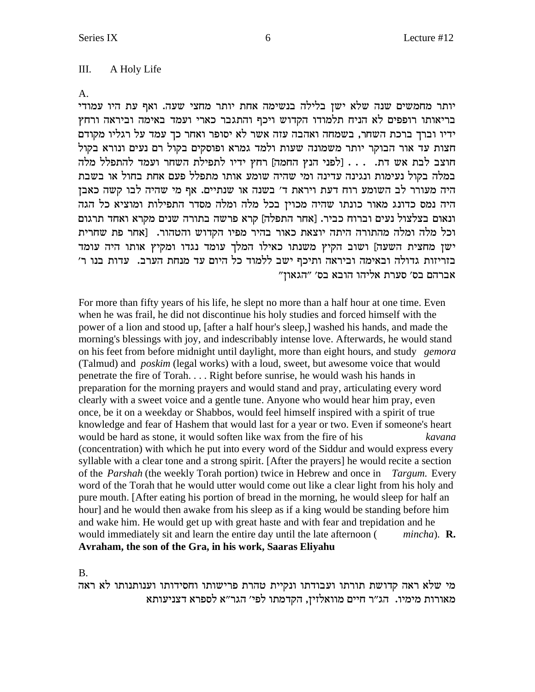#### III. A Holy Life

 $A<sub>1</sub>$ 

יותר מחמשים שנה שלא ישן בלילה בנשימה אחת יותר מחצי שעה. ואף עת היו עמודי בריאותו רופפים לא הניח תלמודו הקדוש ויכף והתגבר כארי ועמד באימה וביראה ורחץ ידיו וברך ברכת השחר, בשמחה ואהבה עזה אשר לא יסופר ואחר כך עמד על רגליו מקודם חצות עד אור הבוקר יותר משמונה שעות ולמד גמרא ופוסקים בקול רם נעים ונורא בקול חוצב לבת אש דת. . . . [לפני הנץ החמה] רחץ ידיו לתפילת השחר ועמד להתפלל מלה במלה בקול נעימות ונגינה עדינה ומי שהיה שומע אותו מתפלל פעם אחת בחול או בשבת היה מעורר לב השומע רוח דעת ויראת ד' בשנה או שנתיים. אף מי שהיה לבו קשה כאבן היה נמס כדונג מאור כונתו שהיה מכוין בכל מלה ומלה מסדר התפילות ומוציא כל הגה ונאום בצלצול נעים וברוח כביר. [אחר התפלה] קרא פרשה בתורה שנים מקרא ואחד תרגום וכל מלה ומלה מהתורה היתה יוצאת כאור בהיר מפיו הקדוש והטהור. [אחר פת שחרית ישן מחצית השעה] ושוב הקיץ משנתו כאילו המלך עומד נגדו ומקיץ אותו היה עומד בזריזות גדולה ובאימה וביראה ותיכף ישב ללמוד כל היום עד מנחת הערב. עדות בנו ר׳ אברהם בס׳ סערת אליהו הובא בס׳ ״הגאון״

For more than fifty years of his life, he slept no more than a half hour at one time. Even when he was frail, he did not discontinue his holy studies and forced himself with the power of a lion and stood up, [after a half hour's sleep,] washed his hands, and made the morning's blessings with joy, and indescribably intense love. Afterwards, he would stand on his feet from before midnight until daylight, more than eight hours, and study gemora (Talmud) and *poskim* (legal works) with a loud, sweet, but awesome voice that would penetrate the fire of Torah.... Right before sunrise, he would wash his hands in preparation for the morning prayers and would stand and pray, articulating every word clearly with a sweet voice and a gentle tune. Anyone who would hear him pray, even once, be it on a weekday or Shabbos, would feel himself inspired with a spirit of true knowledge and fear of Hashem that would last for a year or two. Even if someone's heart would be hard as stone, it would soften like wax from the fire of his kavana (concentration) with which he put into every word of the Siddur and would express every syllable with a clear tone and a strong spirit. [After the prayers] he would recite a section of the *Parshah* (the weekly Torah portion) twice in Hebrew and once in *Targum*. Every word of the Torah that he would utter would come out like a clear light from his holy and pure mouth. [After eating his portion of bread in the morning, he would sleep for half an hourl and he would then awake from his sleep as if a king would be standing before him and wake him. He would get up with great haste and with fear and trepidation and he would immediately sit and learn the entire day until the late afternoon (  $mincha)$ . **R.** Avraham, the son of the Gra, in his work, Saaras Eliyahu

**B.** 

מי שלא ראה קדושת תורתו ועבודתו ונקיית טהרת פרישותו וחסידותו וענותנותו לא ראה מאורות מימיו. הג"ר חיים מוואלזין, הקדמתו לפי' הגר"א לספרא דצניעותא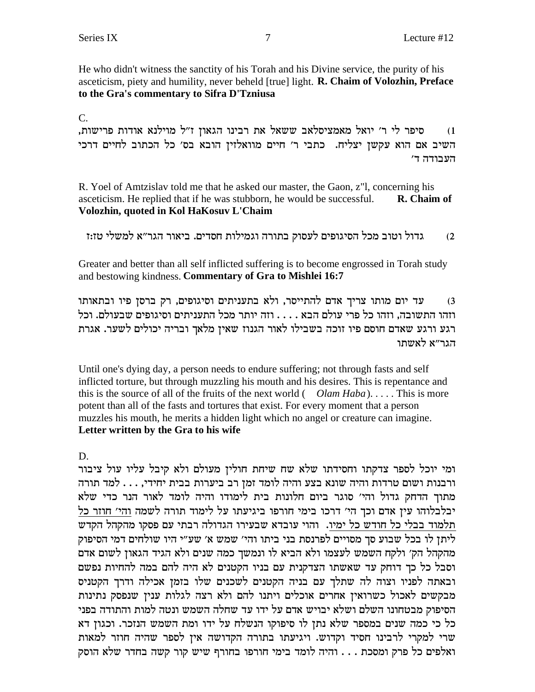He who didn't witness the sanctity of his Torah and his Divine service, the purity of his asceticism, piety and humility, never beheld [true] light. R. Chaim of Volozhin, Preface to the Gra's commentary to Sifra D'Tzniusa

 $C_{\cdot}$ 

סיפר לי ר׳ יואל מאמציסלאב ששאל את רבינו הגאון ז״ל מוילנא אודות פרישות,  $(1)$ השיב אם הוא עקשן יצליח. כתבי ר׳ חיים מוואלזין הובא בס׳ כל הכתוב לחיים דרכי העבודה ד׳

R. Yoel of Amtzislav told me that he asked our master, the Gaon, z"l, concerning his asceticism. He replied that if he was stubborn, he would be successful. R. Chaim of Volozhin, quoted in Kol HaKosuv L'Chaim

גדול וטוב מכל הסיגופים לעסוק בתורה וגמילות חסדים. ביאור הגר״א למשלי טז:ז  $(2)$ 

Greater and better than all self inflicted suffering is to become engrossed in Torah study and bestowing kindness. Commentary of Gra to Mishlei 16:7

עד יום מותו צריך אדם להתייסר, ולא בתעניתים וסיגופים, רק ברסן פיו ובתאותו  $(3)$ וזהו התשובה, וזהו כל פרי עולם הבא . . . . וזה יותר מכל התעניתים וסיגופים שבעולם. וכל רגע ורגע שאדם חוסם פיו זוכה בשבילו לאור הגנוז שאין מלאך ובריה יכולים לשער. אגרת הגר״א לאשתו

Until one's dying day, a person needs to endure suffering; not through fasts and self inflicted torture, but through muzzling his mouth and his desires. This is repentance and this is the source of all of the fruits of the next world  $(Olam Haba)$ .... This is more potent than all of the fasts and tortures that exist. For every moment that a person muzzles his mouth, he merits a hidden light which no angel or creature can imagine. Letter written by the Gra to his wife

D.

ומי יוכל לספר צדקתו וחסידתו שלא שח שיחת חולין מעולם ולא קיבל עליו עול ציבור ורבנות ושום טרדות והיה שונא בצע והיה לומד זמן רב ביערות בבית יחידי, . . . למד תורה מתוך הדחק גדול והי׳ סוגר ביום חלונות בית לימודו והיה לומד לאור הנר כדי שלא יבלבלוהו עין אדם וכך הי' דרכו בימי חורפו ביגיעתו על לימוד תורה לשמה והי' חוזר כל תלמוד בבלי כל חודש כל ימיו. והוי עובדא שבעירו הגדולה רבתי עם פסקו מהקהל הקדש ליתן לו בכל שבוע סך מסויים לפרנסת בני ביתו והי׳ שמש א׳ שע״י היו שולחים דמי הסיפוק מהקהל הק׳ ולקח השמש לעצמו ולא הביא לו ונמשך כמה שנים ולא הגיד הגאון לשום אדם וסבל כל כך דוחק עד שאשתו הצדקנית עם בניו הקטנים לא היה להם במה להחיות נפשם ובאתה לפניו וצוה לה שתלך עם בניה הקטנים לשכנים שלו בזמן אכילה ודרך הקטניס מבקשים לאכול כשרואין אחרים אוכלים ויתנו להם ולא רצה לגלות ענין שנפסק נתינות הסיפוק מבטחונו השלם ושלא יבויש אדם על ידו עד שחלה השמש ונטה למות והתודה בפני כל כי כמה שנים במספר שלא נתן לו סיפוקו הנשלח על ידו ומת השמש הנזכר. וכגון דא שרי למקרי לרבינו חסיד וקדוש. ויגיעתו בתורה הקדושה אין לספר שהיה חוזר למאות ואלפים כל פרק ומסכת . . . והיה לומד בימי חורפו בחורף שיש קור קשה בחדר שלא הוסק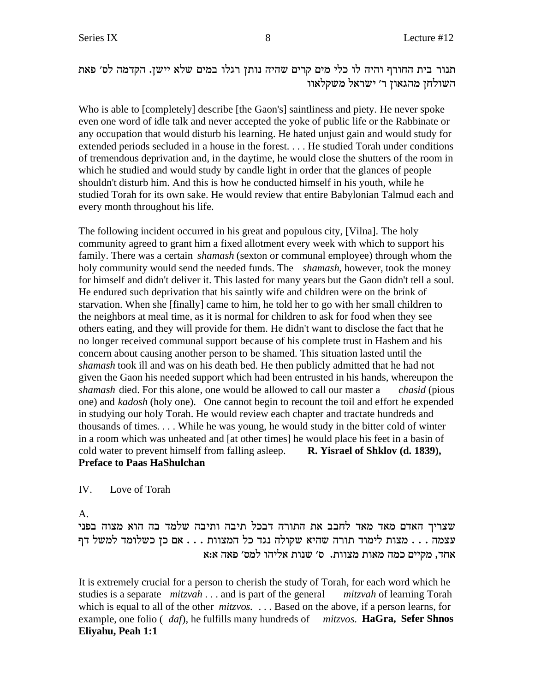תנור בית החורף והיה לו כלי מים קרים שהיה נותן רגלו במים שלא יישן. הקדמה לס׳ פאת השולחן מהגאון ר' ישראל משקלאוו

Who is able to [completely] describe [the Gaon's] saintliness and piety. He never spoke even one word of idle talk and never accepted the yoke of public life or the Rabbinate or any occupation that would disturb his learning. He hated unjust gain and would study for extended periods secluded in a house in the forest. . . . He studied Torah under conditions of tremendous deprivation and, in the daytime, he would close the shutters of the room in which he studied and would study by candle light in order that the glances of people shouldn't disturb him. And this is how he conducted himself in his youth, while he studied Torah for its own sake. He would review that entire Babylonian Talmud each and every month throughout his life.

The following incident occurred in his great and populous city, [Vilna]. The holy community agreed to grant him a fixed allotment every week with which to support his family. There was a certain *shamash* (sexton or communal employee) through whom the holy community would send the needed funds. The *shamash*, however, took the money for himself and didn't deliver it. This lasted for many years but the Gaon didn't tell a soul. He endured such deprivation that his saintly wife and children were on the brink of starvation. When she [finally] came to him, he told her to go with her small children to the neighbors at meal time, as it is normal for children to ask for food when they see others eating, and they will provide for them. He didn't want to disclose the fact that he no longer received communal support because of his complete trust in Hashem and his concern about causing another person to be shamed. This situation lasted until the *shamash* took ill and was on his death bed. He then publicly admitted that he had not given the Gaon his needed support which had been entrusted in his hands, whereupon the *shamash* died. For this alone, one would be allowed to call our master a *chasid* (pious one) and *kadosh* (holy one). One cannot begin to recount the toil and effort he expended in studying our holy Torah. He would review each chapter and tractate hundreds and thousands of times. . . . While he was young, he would study in the bitter cold of winter in a room which was unheated and [at other times] he would place his feet in a basin of cold water to prevent himself from falling asleep. **R. Yisrael of Shklov (d. 1839), Preface to Paas HaShulchan**

IV. Love of Torah

A.

שצריך האדם מאד מאד לחבב את התורה דבכל תיבה ותיבה שלמד בה הוא מצוה בפני עצמה . . . מצות לימוד תורה שהיא שקולה נגד כל המצוות . . . אם כן כשלומד למשל דף אחד, מקיים כמה מאות מצוות. ס׳ שנות אליהו למס׳ פאה א:א

It is extremely crucial for a person to cherish the study of Torah, for each word which he studies is a separate *mitzvah* . . . and is part of the general *mitzvah* of learning Torah which is equal to all of the other *mitzvos.* . . . Based on the above, if a person learns, for example, one folio ( *daf*), he fulfills many hundreds of *mitzvos.* **HaGra, Sefer Shnos Eliyahu, Peah 1:1**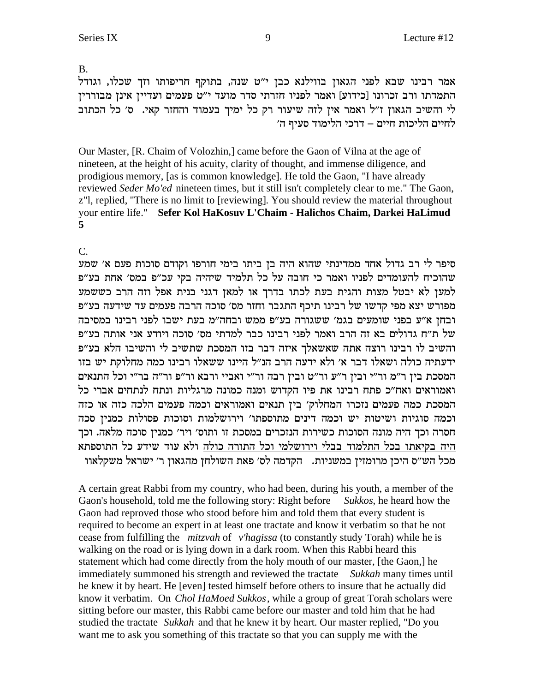B.

אמר רבינו שבא לפני הגאון בווילנא כבן י"ט שנה, בתוקף חריפותו וזך שכלו, וגודל התמדתו ורב זכרונו [כידוע] ואמר לפניו חזרתי סדר מועד י"ט פעמים ועדיין אינן מבוררין לי והשיב הגאון ז"ל ואמר אין לזה שיעור רק כל ימיך בעמוד והחזר קאי. ס' כל הכתוב לחיים הליכות חיים – דרכי הלימוד סעיף ה׳

Our Master, [R. Chaim of Volozhin,] came before the Gaon of Vilna at the age of nineteen, at the height of his acuity, clarity of thought, and immense diligence, and prodigious memory, [as is common knowledge]. He told the Gaon, "I have already reviewed Seder Mo'ed nineteen times, but it still isn't completely clear to me." The Gaon, z"l, replied, "There is no limit to [reviewing]. You should review the material throughout your entire life." Sefer Kol HaKosuv L'Chaim - Halichos Chaim, Darkei HaLimud 5

### $\mathcal{C}$

סיפר לי רב גדול אחד ממדינתי שהוא היה בן ביתו בימי חורפו וקודם סוכות פעם א׳ שמע שהוכיח להעומדים לפניו ואמר כי חובה על כל תלמיד שיהיה בקי עכ״פ במס׳ אחת בע״פ למען לא יבטל מצות והגית בעת לכתו בדרך או למאן דגני בנית אפל וזה הרב כששמע מפורש יצא מפי קדשו של רבינו תיכף התגבר וחזר מס׳ סוכה הרבה פעמים עד שידעה בע״פ ובחן א״ע בפני שומעים בגמ׳ ששגורה בע״פ ממש ובחה״מ בעת ישבו לפני רבינו במסיבה של ת"ח גדולים בא זה הרב ואמר לפני רבינו כבר למדתי מס' סוכה ויודע אני אותה בע"פ והשיב לו רבינו רוצה אתה שאשאלך איזה דבר בזו המסכת שתשיב לי והשיבו הלא בע"פ ידעתיה כולה ושאלו דבר א׳ ולא ידעה הרב הנ״ל היינו ששאלו רבינו כמה מחלוקת יש בזו המסכת בין ר"מ ור"י ובין ר"ע ור"ט ובין רבה ור"י ואביי ורבא ור"פ ור"ה בר"י וכל התנאים ואמוראים ואח"כ פתח רבינו את פיו הקדוש ומנה כמונה מרגליות ונתח לנתחים אברי כל המסכת כמה פעמים נזכרו המחלוק׳ בין תנאים ואמוראים וכמה פעמים הלכה כזה או כזה וכמה סוגיות ושיטות יש וכמה דינים מתוספתו' וירושלמות וסוכות פסולות כמנין סכה חסרה וכך היה מונה הסוכות כשירות הנזכרים במסכת זו ותוס׳ ויר׳ כמנין סוכה מלאה. וכך היה בקיאתו בכל התלמוד בבלי וירושלמי וכל התורה כולה ולא עוד שידע כל התוספתא מכל הש"ס היכן מרומזין במשניות. הקדמה לס׳ פאת השולחן מהגאון ר׳ ישראל משקלאוו

A certain great Rabbi from my country, who had been, during his youth, a member of the Gaon's household, told me the following story: Right before Sukkos, he heard how the Gaon had reproved those who stood before him and told them that every student is required to become an expert in at least one tractate and know it verbatim so that he not cease from fulfilling the *mitzvah* of *v'hagissa* (to constantly study Torah) while he is walking on the road or is lying down in a dark room. When this Rabbi heard this statement which had come directly from the holy mouth of our master, [the Gaon,] he immediately summoned his strength and reviewed the tractate Sukkah many times until he knew it by heart. He [even] tested himself before others to insure that he actually did know it verbatim. On *Chol HaMoed Sukkos*, while a group of great Torah scholars were sitting before our master, this Rabbi came before our master and told him that he had studied the tractate Sukkah and that he knew it by heart. Our master replied, "Do you want me to ask you something of this tractate so that you can supply me with the

9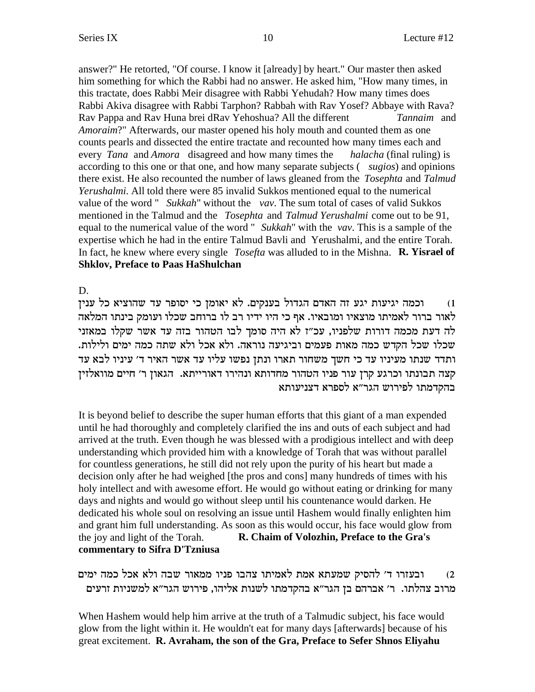answer?" He retorted, "Of course. I know it [already] by heart." Our master then asked him something for which the Rabbi had no answer. He asked him, "How many times, in this tractate, does Rabbi Meir disagree with Rabbi Yehudah? How many times does Rabbi Akiva disagree with Rabbi Tarphon? Rabbah with Rav Yosef? Abbaye with Rava? Rav Pappa and Rav Huna brei dRav Yehoshua? All the different *Tannaim* and Amoraim?" Afterwards, our master opened his holy mouth and counted them as one counts pearls and dissected the entire tractate and recounted how many times each and every *Tana* and *Amora* disagreed and how many times the *halacha* (final ruling) is according to this one or that one, and how many separate subjects ( sugios) and opinions there exist. He also recounted the number of laws gleaned from the Tosephta and Talmud Yerushalmi. All told there were 85 invalid Sukkos mentioned equal to the numerical value of the word " Sukkah" without the vav. The sum total of cases of valid Sukkos mentioned in the Talmud and the Tosephta and Talmud Yerushalmi come out to be 91, equal to the numerical value of the word " Sukkah" with the vav. This is a sample of the expertise which he had in the entire Talmud Bavli and Yerushalmi, and the entire Torah. In fact, he knew where every single *Tosefta* was alluded to in the Mishna. **R. Yisrael of Shklov, Preface to Paas HaShulchan** 

D.

וכמה יגיעות יגע זה האדם הגדול בענקים. לא יאומן כי יסופר עד שהוציא כל ענין  $(1)$ לאור ברור לאמיתו מוצאיו ומובאיו. אף כי היו ידיו רב לו ברוחב שכלו ועומק בינתו המלאה לה דעת מכמה דורות שלפניו, עכ"ז לא היה סומך לבו הטהור בזה עד אשר שקלו במאזני שכלו שכל הקדש כמה מאות פעמים וביגיעה נוראה. ולא אכל ולא שתה כמה ימים ולילות. ותדד שנתו מעיניו עד כי חשך משחור תארו ונתן נפשו עליו עד אשר האיר ד׳ עיניו לבא עד קצה תבונתו וכרגע קרן עור פניו הטהור מחדותא ונהירו דאורייתא. הגאון ר׳ חיים מוואלזין בהקדמתו לפירוש הגר"א לספרא דצניעותא

It is beyond belief to describe the super human efforts that this giant of a man expended until he had thoroughly and completely clarified the ins and outs of each subject and had arrived at the truth. Even though he was blessed with a prodigious intellect and with deep understanding which provided him with a knowledge of Torah that was without parallel for countless generations, he still did not rely upon the purity of his heart but made a decision only after he had weighed [the pros and cons] many hundreds of times with his holy intellect and with awesome effort. He would go without eating or drinking for many days and nights and would go without sleep until his countenance would darken. He dedicated his whole soul on resolving an issue until Hashem would finally enlighten him and grant him full understanding. As soon as this would occur, his face would glow from the joy and light of the Torah. R. Chaim of Volozhin, Preface to the Gra's commentary to Sifra D'Tzniusa

ובעזרו ד׳ להסיק שמעתא אמת לאמיתו צהבו פניו ממאור שבה ולא אכל כמה ימים  $(2)$ מרוב צהלתו. ר׳ אברהם בז הגר״א בהקדמתו לשנות אליהו, פירוש הגר״א למשניות זרעים

When Hashem would help him arrive at the truth of a Talmudic subject, his face would glow from the light within it. He wouldn't eat for many days [afterwards] because of his great excitement. R. Avraham, the son of the Gra, Preface to Sefer Shnos Eliyahu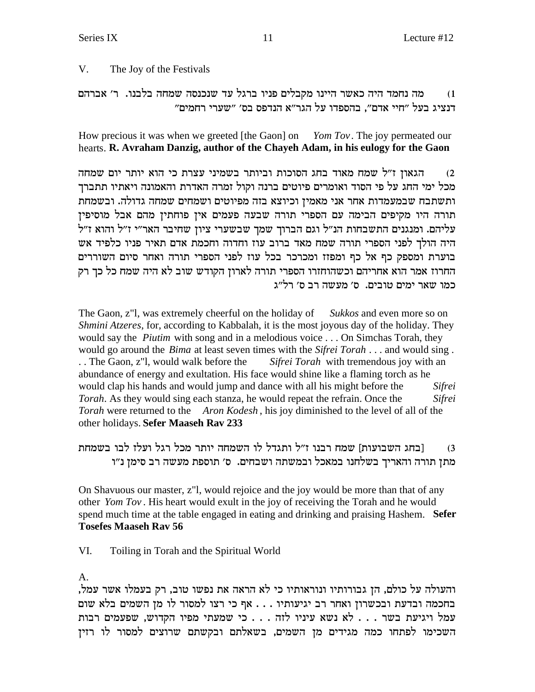#### V. The Joy of the Festivals

מה נחמד היה כאשר היינו מקבלים פניו ברגל עד שנכנסה שמחה בלבנו. ר' אברהם  $(1)$ דנציג בעל "חיי אדם", בהספדו על הגר"א הנדפס בס' "שערי רחמים"

How precious it was when we greeted [the Gaon] on *Yom Tov*. The joy permeated our hearts. R. Avraham Danzig, author of the Chayeh Adam, in his eulogy for the Gaon

הגאון ז"ל שמח מאוד בחג הסוכות וביותר בשמיני עצרת כי הוא יותר יום שמחה  $(2)$ מכל ימי החג על פי הסוד ואומרים פיוטים ברנה וקול זמרה האדרת והאמונה ויאתיו תתברך ותשתבח שבמעמדות אחר אני מאמין וכיוצא בזה מפיוטים ושמחים שמחה גדולה. ובשמחת תורה היו מקיפים הבימה עם הספרי תורה שבעה פעמים אין פוחתין מהם אבל מוסיפין עליהם. ומנגנים התשבחות הנ"ל וגם הברוך שמך שבשערי ציון שחיבר האר"י ז"ל והוא ז"ל היה הולך לפני הספרי תורה שמח מאד ברוב עוז וחדוה וחכמת אדם תאיר פניו כלפיד אש בוערת ומספק כף אל כף ומפזז ומכרכר בכל עוז לפני הספרי תורה ואחר סיום השוררים החרוז אמר הוא אחריהם וכשהוחזרו הספרי תורה לארון הקודש שוב לא היה שמח כל כך רק כמו שאר ימים טובים. ס׳ מעשה רב ס׳ רל״ג

The Gaon, z"l, was extremely cheerful on the holiday of *Sukkos* and even more so on Shmini Atzeres, for, according to Kabbalah, it is the most joyous day of the holiday. They would say the *Piutim* with song and in a melodious voice . . . On Simchas Torah, they would go around the *Bima* at least seven times with the *Sifrei Torah* . . . and would sing . .. The Gaon, z"l, would walk before the Sifrei Torah with tremendous joy with an abundance of energy and exultation. His face would shine like a flaming torch as he would clap his hands and would jump and dance with all his might before the *Sifrei* Torah. As they would sing each stanza, he would repeat the refrain. Once the Sifrei Torah were returned to the Aron Kodesh, his joy diminished to the level of all of the other holidays. Sefer Maaseh Rav 233

|בחג השבועות] שמח רבנו ז״ל ותגדל לו השמחה יותר מכל רגל ועלז לבו בשמחת  $(3)$ מתן תורה והאריך בשלחנו במאכל ובמשתה ושבחים. ס׳ תוספת מעשה רב סימן נ״ו

On Shavuous our master, z"l, would rejoice and the joy would be more than that of any other Yom Tov. His heart would exult in the joy of receiving the Torah and he would spend much time at the table engaged in eating and drinking and praising Hashem. Sefer **Tosefes Maaseh Rav 56** 

VI. Toiling in Torah and the Spiritual World

 $A_{\cdot}$ 

והעולה על כולם, הן גבורותיו ונוראותיו כי לא הראה את נפשו טוב, רק בעמלו אשר עמל, בחכמה ובדעת ובכשרון ואחר רב יגיעותיו . . . אף כי רצו למסור לו מן השמים בלא שום עמל ויגיעת בשר . . . לא נשא עיניו לזה . . . כי שמעתי מפיו הקדוש, שפעמים רבות השכימו לפתחו כמה מגידים מן השמים, בשאלתם ובקשתם שרוצים למסור לו רזין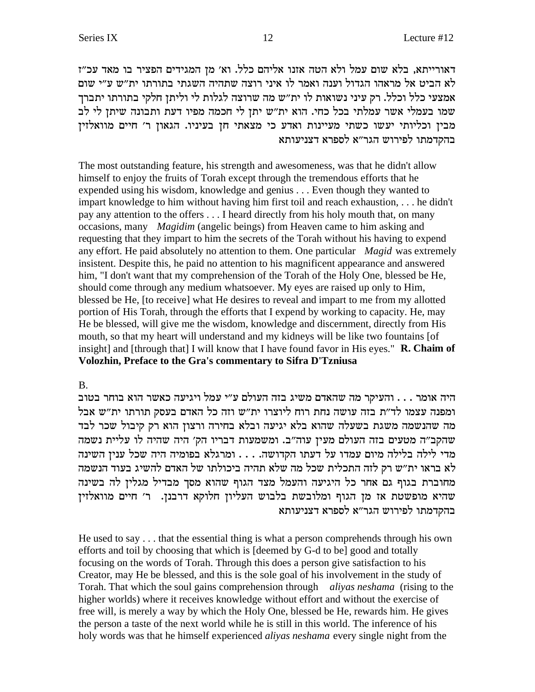דאורייתא, בלא שום עמל ולא הטה אזנו אליהם כלל. וא׳ מן המגידים הפציר בו מאד עכ״ז לא הביט אל מראהו הגדול וענה ואמר לו איני רוצה שתהיה השגתי בתורתו ית"ש ע"י שום אמצעי כלל וכלל. רק עיני נשואות לו ית"ש מה שרוצה לגלות לי וליתן חלקי בתורתו יתברך שמו בעמלי אשר עמלתי בכל כחי. הוא ית"ש יתן לי חכמה מפיו דעת ותבונה שיתן לי לב מבין וכליותי יעשו כשתי מעיינות ואדע כי מצאתי חן בעיניו. הגאון ר׳ חיים מוואלזין בהקדמתו לפירוש הגר"א לספרא דצניעותא

The most outstanding feature, his strength and awesomeness, was that he didn't allow himself to enjoy the fruits of Torah except through the tremendous efforts that he expended using his wisdom, knowledge and genius . . . Even though they wanted to impart knowledge to him without having him first toil and reach exhaustion, ... he didn't pay any attention to the offers . . . I heard directly from his holy mouth that, on many occasions, many *Magidim* (angelic beings) from Heaven came to him asking and requesting that they impart to him the secrets of the Torah without his having to expend any effort. He paid absolutely no attention to them. One particular Magid was extremely insistent. Despite this, he paid no attention to his magnificent appearance and answered him, "I don't want that my comprehension of the Torah of the Holy One, blessed be He, should come through any medium whatsoever. My eyes are raised up only to Him, blessed be He, [to receive] what He desires to reveal and impart to me from my allotted portion of His Torah, through the efforts that I expend by working to capacity. He, may He be blessed, will give me the wisdom, knowledge and discernment, directly from His mouth, so that my heart will understand and my kidneys will be like two fountains [of insight] and [through that] I will know that I have found favor in His eyes." R. Chaim of Volozhin, Preface to the Gra's commentary to Sifra D'Tzniusa

#### **B.**

היה אומר . . . והעיקר מה שהאדם משיג בזה העולם ע"י עמל ויגיעה כאשר הוא בוחר בטוב ומפנה עצמו לד״ת בזה עושה נחת רוח ליוצרו ית״ש וזה כל האדם בעסק תורתו ית״ש אבל מה שהנשמה משגת בשעלה שהוא בלא יגיעה ובלא בחירה ורצון הוא רק קיבול שכר לבד שהקב״ה מטעים בזה העולם מעין עוה״ב. ומשמעות דבריו הק׳ היה שהיה לו עליית נשמה מדי לילה בלילה מיום עמדו על דעתו הקדושה. . . . ומרגלא בפומיה היה שכל ענין השינה לא בראו ית"ש רק לזה התכלית שכל מה שלא תהיה ביכולתו של האדם להשיג בעוד הנשמה מחוברת בגוף גם אחר כל היגיעה והעמל מצד הגוף שהוא מסך מבדיל מגלין לה בשינה שהיא מופשטת אז מן הגוף ומלובשת בלבוש העליון חלוקא דרבנן. ר' חיים מוואלזין בהקדמתו לפירוש הגר"א לספרא דצניעותא

He used to say  $\dots$  that the essential thing is what a person comprehends through his own efforts and toil by choosing that which is [deemed by G-d to be] good and totally focusing on the words of Torah. Through this does a person give satisfaction to his Creator, may He be blessed, and this is the sole goal of his involvement in the study of Torah. That which the soul gains comprehension through aliyas neshama (rising to the higher worlds) where it receives knowledge without effort and without the exercise of free will, is merely a way by which the Holy One, blessed be He, rewards him. He gives the person a taste of the next world while he is still in this world. The inference of his holy words was that he himself experienced *alivas neshama* every single night from the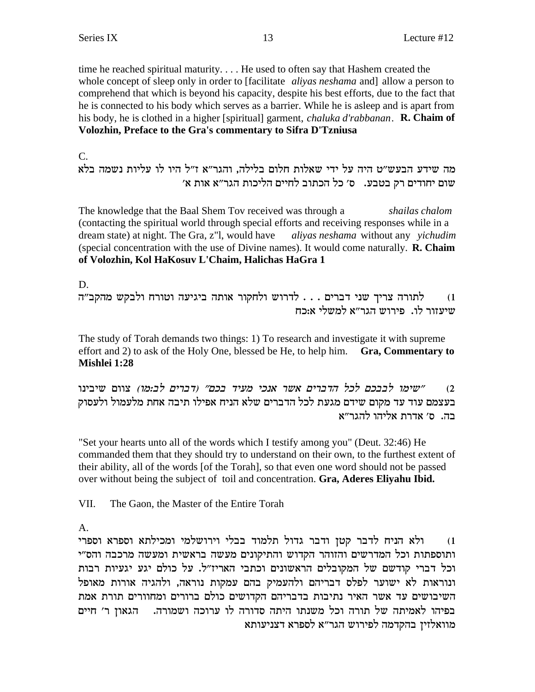time he reached spiritual maturity.... He used to often say that Hashem created the whole concept of sleep only in order to [facilitate *alivas neshama* and] allow a person to comprehend that which is beyond his capacity, despite his best efforts, due to the fact that he is connected to his body which serves as a barrier. While he is asleep and is apart from his body, he is clothed in a higher [spiritual] garment, *chaluka d'rabbanan*. **R. Chaim of** Volozhin, Preface to the Gra's commentary to Sifra D'Tzniusa

 $C_{\cdot}$ 

מה שידע הבעש״ט היה על ידי שאלות חלום בלילה, והגר״א ז״ל היו לו עליות נשמה בלא שום יחודים רק בטבע. ס׳ כל הכתוב לחיים הליכות הגר״א אות א׳

The knowledge that the Baal Shem Tov received was through a shailas chalom (contacting the spiritual world through special efforts and receiving responses while in a dream state) at night. The Gra, z"l, would have aliyas neshama without any yichudim (special concentration with the use of Divine names). It would come naturally. **R. Chaim** of Volozhin, Kol HaKosuv L'Chaim, Halichas HaGra 1

 $D_{\perp}$ 

לתורה צריך שני דברים . . . לדרוש ולחקור אותה ביגיעה וטורח ולבקש מהקב"ה  $(1)$ שיעזור לו. פירוש הגר"א למשלי א:כח

The study of Torah demands two things: 1) To research and investigate it with supreme effort and 2) to ask of the Holy One, blessed be He, to help him. Gra, Commentary to Mishlei 1:28

״שימו לבבכם לכל הדברים אשר אנכי מעיד בכם״ (דברים לב:מו) צוום שיבינו  $(2)$ בעצמם עוד עד מקום שידם מגעת לכל הדברים שלא הניח אפילו תיבה אחת מלעמול ולעסוק בה. ס׳ אדרת אליהו להגר״א

"Set your hearts unto all of the words which I testify among you" (Deut. 32:46) He commanded them that they should try to understand on their own, to the furthest extent of their ability, all of the words [of the Torah], so that even one word should not be passed over without being the subject of toil and concentration. Gra, Aderes Eliyahu Ibid.

VII. The Gaon, the Master of the Entire Torah

 $A<sub>1</sub>$ 

ולא הניח לדבר קטן ודבר גדול תלמוד בבלי וירושלמי ומכילתא וספרא וספרי  $(1)$ ותוספתות וכל המדרשים והזוהר הקדוש והתיקונים מעשה בראשית ומעשה מרכבה והס"י וכל דברי קודשם של המקובלים הראשונים וכתבי האריז"ל. על כולם יגע יגעיות רבות ונוראות לא ישוער לפלס דבריהם ולהעמיק בהם עמקות נוראה, ולהגיה אורות מאופל השיבושים עד אשר האיר נתיבות בדבריהם הקדושים כולם ברורים ומחוורים תורת אמת בפיהו לאמיתה של תורה וכל משנתו היתה סדורה לו ערוכה ושמורה. - הגאון ר׳ חיים מוואלזין בהקדמה לפירוש הגר"א לספרא דצניעותא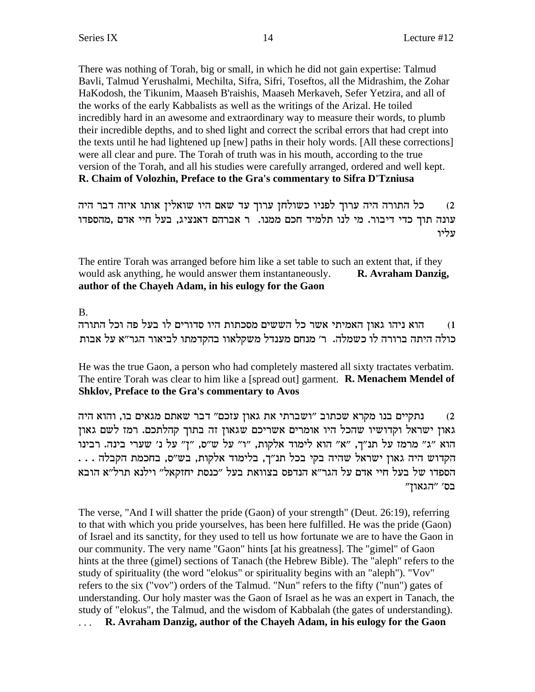There was nothing of Torah, big or small, in which he did not gain expertise: Talmud Bavli, Talmud Yerushalmi, Mechilta, Sifra, Sifri, Toseftos, all the Midrashim, the Zohar HaKodosh, the Tikunim, Maaseh B'raishis, Maaseh Merkaveh, Sefer Yetzira, and all of the works of the early Kabbalists as well as the writings of the Arizal. He toiled incredibly hard in an awesome and extraordinary way to measure their words, to plumb their incredible depths, and to shed light and correct the scribal errors that had crept into the texts until he had lightened up [new] paths in their holy words. [All these corrections] were all clear and pure. The Torah of truth was in his mouth, according to the true version of the Torah, and all his studies were carefully arranged, ordered and well kept. R. Chaim of Volozhin, Preface to the Gra's commentary to Sifra D'Tzniusa

כל התורה היה ערוך לפניו כשולחן ערוך עד שאם היו שואלין אותו איזה דבר היה  $(2)$ עונה תוך כדי דיבור. מי לנו תלמיד חכם ממנו. ר אברהם דאנציג, בעל חיי אדם ,מהספדו עליו

The entire Torah was arranged before him like a set table to such an extent that, if they would ask anything, he would answer them instantaneously. R. Avraham Danzig, author of the Chayeh Adam, in his eulogy for the Gaon

### **B.**

הוא ניהו גאון האמיתי אשר כל הששים מסכתות היו סדורים לו בעל פה וכל התורה  $(1)$ כולה היתה ברורה לו כשמלה. ר' מנחם מענדל משקלאוו בהקדמתו לביאור הגר"א על אבות

He was the true Gaon, a person who had completely mastered all sixty tractates verbatim. The entire Torah was clear to him like a [spread out] garment. **R. Menachem Mendel of** Shklov, Preface to the Gra's commentary to Avos

נתקיים בנו מקרא שכתוב "ושברתי את גאון עזכם" דבר שאתם מגאים בו, והוא היה  $(2)$ גאון ישראל וקדושיו שהכל היו אומרים אשריכם שגאון זה בתוך קהלתכם. רמז לשם גאון הוא "ג" מרמז על תנ"ך, "א" הוא לימוד אלקות, "ו" על ש"ס, "ז" על נ' שערי בינה. רבינו הקדוש היה גאון ישראל שהיה בקי בכל תנ"ך, בלימוד אלקות, בש"ס, בחכמת הקבלה . . . הספדו של בעל חיי אדם על הגר"א הנדפס בצוואת בעל "כנסת יחזקאל" וילנא תרל"א הובא "הגאון" בס'

The verse, "And I will shatter the pride (Gaon) of your strength" (Deut. 26:19), referring to that with which you pride yourselves, has been here fulfilled. He was the pride (Gaon) of Israel and its sanctity, for they used to tell us how fortunate we are to have the Gaon in our community. The very name "Gaon" hints [at his greatness]. The "gimel" of Gaon hints at the three (gimel) sections of Tanach (the Hebrew Bible). The "aleph" refers to the study of spirituality (the word "elokus" or spirituality begins with an "aleph"). "Vov" refers to the six ("vov") orders of the Talmud. "Nun" refers to the fifty ("nun") gates of understanding. Our holy master was the Gaon of Israel as he was an expert in Tanach, the study of "elokus", the Talmud, and the wisdom of Kabbalah (the gates of understanding). ... R. Avraham Danzig, author of the Chayeh Adam, in his eulogy for the Gaon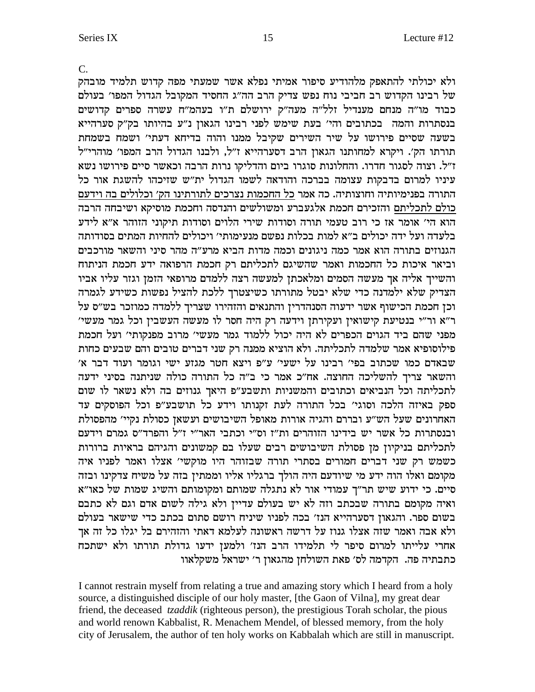$\mathcal{C}$ . ולא יכולתי להתאפק מלהודיע סיפור אמיתי נפלא אשר שמעתי מפה קדוש תלמיד מובהק .<br>של רבינו הקדוש רב חביבי נוח נפש צדיק הרב הה"ג החסיד המקובל הגדול המפו' בעולם כבוד מו"ה מנחם מענדיל זלל"ה מעה"ק ירושלם ת"ו בעהמ"ח עשרה ספרים קדושים בנסתרות והמה בכתובים והי' בעת שימש לפני רבינו הגאון נ"ע בהיותו בק"ק סערהייא בשעה שסיים פירושו על שיר השירים שקיבל ממנו והוה בדיחא דעתי' ושמח בשמחת תורתו הק׳. ויקרא למחותנו הגאון הרב דסערהייא ז״ל, ולבנו הגדול הרב המפו׳ מוהרי״ל ז"ל. וצוה לסגור חדרו. והחלונות סוגרו ביום והדליקו נרות הרבה וכאשר סיים פירושו נשא עיניו למרום בדבקות עצומה בברכה והודאה לשמו הגדול ית"ש שזיכהו להשגת אור כל התורה בפנימיותיה וחוצותיה. כה אמר כל החכמות נצרכים לתורתינו הק׳ וכלולים בה וידעם כולם לתכליתם והזכירם חכמת אלגעברע ומשולשים והנדסה וחכמת מוסיקא ושיבחה הרבה הוא הי' אומר אז כי רוב טעמי תורה וסודות שירי הלוים וסודות תיקוני הזוהר א"א לידע בלעדה ועל ידה יכולים ב״א למות בכלות נפשם מנעימותי׳ ויכולים להחיות המתים בסודותה הגנוזים בתורה הוא אמר כמה ניגונים וכמה מדות הביא מרע"ה מהר סיני והשאר מורכבים וביאר איכות כל החכמות ואמר שהשיגם לתכליתם רק חכמת הרפואה ידע חכמת הניתוח והשייך אליה אך מעשה הסמים ומלאכתן למעשה רצה ללמדם מרופאי הזמן וגזר עליו אביו הצדיק שלא ילמדנה כדי שלא יבטל מתורתו כשיצטרך ללכת להציל נפשות כשידע לגמרה וכן חכמת הכישוף אשר ידעוה הסנהדרין והתנאים והזהירו שצריך ללמדה כמוזכר בש"ס על ר"א ור"י בנטיעת קישואין ועקירתן וידעה רק היה חסר לו מעשה העשבין וכל גמר מעשי' מפני שהם ביד הגוים הכפרים לא היה יכול ללמוד גמר מעשי׳ מרוב מפנקותי׳ ועל חכמת פילוסופיא אמר שלמדה לתכליתה. ולא הוציא ממנה רק שני דברים טובים והם שבעים כחות שבאדם כמו שכתוב בפי' רבינו על ישעי' ע"פ ויצא חטר מגזע ישי וגומר ועוד דבר א' והשאר צריך להשליכה החוצה. אח"כ אמר כי ב"ה כל התורה כולה שניתנה בסיני ידעה לתכליתה וכל הנביאים וכתובים והמשניות ותשבע"פ היאך גנוזים בה ולא נשאר לו שום ספק באיזה הלכה וסוגי׳ בכל התורה לעת זקנותו וידע כל תושבע״פ וכל הפוסקים עד האחרונים שעל הש"ע ובררם והגיה אורות מאופל השיבושים ועשאן כסולת נקיי' מהפסולת ובנסתרות כל אשר יש בידינו הזוהרים ות"ז וס"י וכתבי האר"י ז"ל והפרד"ס גמרם וידעם לתכליתם בניקיון מן פסולת השיבושים רבים שעלו בם קמשונים והגיהם בראיות ברורות כשמש רק שני דברים חמורים בסתרי תורה שבזוהר היו מוקשי׳ אצלו ואמר לפניו איה מקומם ואלו הוה ידע מי שיודעם היה הולך ברגליו אליו וממתין בזה על משיח צדקינו ובזה סיים. כי ידוע שיש תר"ך עמודי אור לא נתגלה שמותם ומקומותם והשיג שמות של כאו"א ואיה מקומם בתורה שבכתב וזה לא יש בעולם עדיין ולא גילה לשום אדם וגם לא כתבם בשום ספר. והגאון דסערהייא הנז' בכה לפניו שיניח רושם סתום בכתב כדי שישאר בעולם ולא אבה ואמר שזה אצלו גנוז על דרשה ראשונה לעלמא דאתי והזהירם בל יגלו כל זה אך אחרי עלייתו למרום סיפר לי תלמידו הרב הנז' ולמען ידעו גדולת תורתו ולא ישתכח כתבתיה פה. הקדמה לס׳ פאת השולחן מהגאון ר׳ ישראל משקלאוו

I cannot restrain myself from relating a true and amazing story which I heard from a holy source, a distinguished disciple of our holy master, [the Gaon of Vilna], my great dear friend, the deceased *tzaddik* (righteous person), the prestigious Torah scholar, the pious and world renown Kabbalist, R. Menachem Mendel, of blessed memory, from the holy city of Jerusalem, the author of ten holy works on Kabbalah which are still in manuscript.

15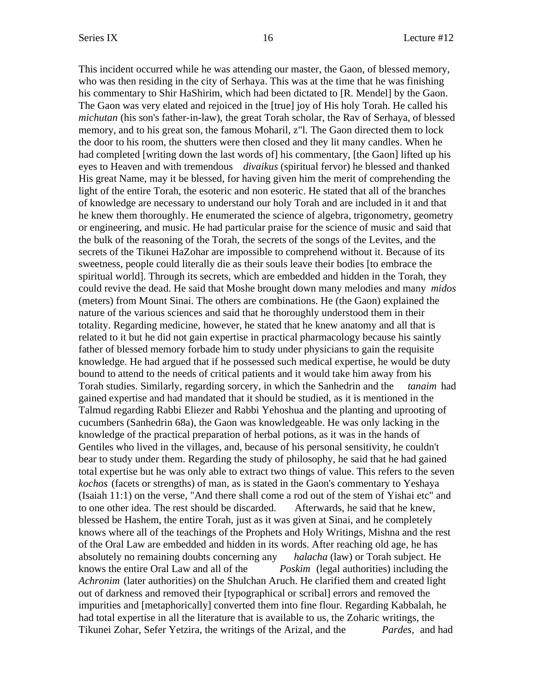This incident occurred while he was attending our master, the Gaon, of blessed memory, who was then residing in the city of Serhaya. This was at the time that he was finishing his commentary to Shir HaShirim, which had been dictated to [R. Mendel] by the Gaon. The Gaon was very elated and rejoiced in the [true] joy of His holy Torah. He called his *michutan* (his son's father-in-law), the great Torah scholar, the Rav of Serhaya, of blessed memory, and to his great son, the famous Moharil, z"l. The Gaon directed them to lock the door to his room, the shutters were then closed and they lit many candles. When he had completed [writing down the last words of] his commentary, [the Gaon] lifted up his eyes to Heaven and with tremendous *divaikus* (spiritual fervor) he blessed and thanked His great Name, may it be blessed, for having given him the merit of comprehending the light of the entire Torah, the esoteric and non esoteric. He stated that all of the branches of knowledge are necessary to understand our holy Torah and are included in it and that he knew them thoroughly. He enumerated the science of algebra, trigonometry, geometry or engineering, and music. He had particular praise for the science of music and said that the bulk of the reasoning of the Torah, the secrets of the songs of the Levites, and the secrets of the Tikunei HaZohar are impossible to comprehend without it. Because of its sweetness, people could literally die as their souls leave their bodies [to embrace the spiritual world]. Through its secrets, which are embedded and hidden in the Torah, they could revive the dead. He said that Moshe brought down many melodies and many *midos* (meters) from Mount Sinai. The others are combinations. He (the Gaon) explained the nature of the various sciences and said that he thoroughly understood them in their totality. Regarding medicine, however, he stated that he knew anatomy and all that is related to it but he did not gain expertise in practical pharmacology because his saintly father of blessed memory forbade him to study under physicians to gain the requisite knowledge. He had argued that if he possessed such medical expertise, he would be duty bound to attend to the needs of critical patients and it would take him away from his Torah studies. Similarly, regarding sorcery, in which the Sanhedrin and the *tanaim* had gained expertise and had mandated that it should be studied, as it is mentioned in the Talmud regarding Rabbi Eliezer and Rabbi Yehoshua and the planting and uprooting of cucumbers (Sanhedrin 68a), the Gaon was knowledgeable. He was only lacking in the knowledge of the practical preparation of herbal potions, as it was in the hands of Gentiles who lived in the villages, and, because of his personal sensitivity, he couldn't bear to study under them. Regarding the study of philosophy, he said that he had gained total expertise but he was only able to extract two things of value. This refers to the seven *kochos* (facets or strengths) of man, as is stated in the Gaon's commentary to Yeshaya (Isaiah 11:1) on the verse, "And there shall come a rod out of the stem of Yishai etc" and to one other idea. The rest should be discarded. Afterwards, he said that he knew, blessed be Hashem, the entire Torah, just as it was given at Sinai, and he completely knows where all of the teachings of the Prophets and Holy Writings, Mishna and the rest of the Oral Law are embedded and hidden in its words. After reaching old age, he has absolutely no remaining doubts concerning any *halacha* (law) or Torah subject. He knows the entire Oral Law and all of the *Poskim* (legal authorities) including the *Achronim* (later authorities) on the Shulchan Aruch. He clarified them and created light out of darkness and removed their [typographical or scribal] errors and removed the impurities and [metaphorically] converted them into fine flour. Regarding Kabbalah, he had total expertise in all the literature that is available to us, the Zoharic writings, the Tikunei Zohar, Sefer Yetzira, the writings of the Arizal, and the *Pardes,* and had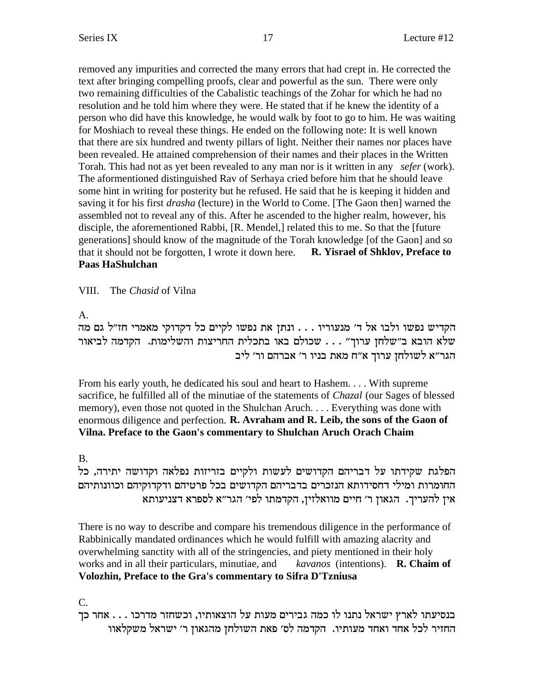removed any impurities and corrected the many errors that had crept in. He corrected the text after bringing compelling proofs, clear and powerful as the sun. There were only two remaining difficulties of the Cabalistic teachings of the Zohar for which he had no resolution and he told him where they were. He stated that if he knew the identity of a person who did have this knowledge, he would walk by foot to go to him. He was waiting for Moshiach to reveal these things. He ended on the following note: It is well known that there are six hundred and twenty pillars of light. Neither their names nor places have been revealed. He attained comprehension of their names and their places in the Written Torah. This had not as yet been revealed to any man nor is it written in any *sefer* (work). The aformentioned distinguished Rav of Serhaya cried before him that he should leave some hint in writing for posterity but he refused. He said that he is keeping it hidden and saving it for his first *drasha* (lecture) in the World to Come. [The Gaon then] warned the assembled not to reveal any of this. After he ascended to the higher realm, however, his disciple, the aforementioned Rabbi, [R. Mendel,] related this to me. So that the [future generations] should know of the magnitude of the Torah knowledge [of the Gaon] and so that it should not be forgotten, I wrote it down here. **R. Yisrael of Shklov, Preface to Paas HaShulchan**

VIII. The *Chasid* of Vilna

A.

הקדיש נפשו ולבו אל ד' מנעוריו . . . ונתן את נפשו לקיים כל דקדוקי מאמרי חז"ל גם מה שלא הובא ב"שלחן ערוך" . . . שכולם באו בתכלית החריצות והשלימות. הקדמה לביאור הגר"א לשולחז ערוך א"ח מאת בניו ר' אברהם ור' ליב

From his early youth, he dedicated his soul and heart to Hashem. . . . With supreme sacrifice, he fulfilled all of the minutiae of the statements of *Chazal* (our Sages of blessed memory), even those not quoted in the Shulchan Aruch. . . . Everything was done with enormous diligence and perfection. **R. Avraham and R. Leib, the sons of the Gaon of Vilna. Preface to the Gaon's commentary to Shulchan Aruch Orach Chaim**

# B.

הפלגת שקידתו על דבריהם הקדושים לעשות ולקיים בזריזות נפלאה וקדושה יתירה, כל החומרות ומילי דחסידותא הנזכרים בדבריהם הקדושים בכל פרטיהם ודקדוקיהם וכוונותיהם  $\overline{\phantom{a}}$ אין להעריך. הגאון ר' חיים מוואלזין, הקדמתו לפי' הגר"א לספרא דצניעותא

There is no way to describe and compare his tremendous diligence in the performance of Rabbinically mandated ordinances which he would fulfill with amazing alacrity and overwhelming sanctity with all of the stringencies, and piety mentioned in their holy works and in all their particulars, minutiae, and *kavanos* (intentions). **R. Chaim of Volozhin, Preface to the Gra's commentary to Sifra D'Tzniusa**

C.

בנסיעתו לארץ ישראל נתנו לו כמה גבירים מעות על הוצאותיו, וכשחזר מדרכו . . . אחר כך החזיר לכל אחד ואחד מעותיו. הקדמה לס׳ פאת השולחן מהגאון ר׳ ישראל משקלאוו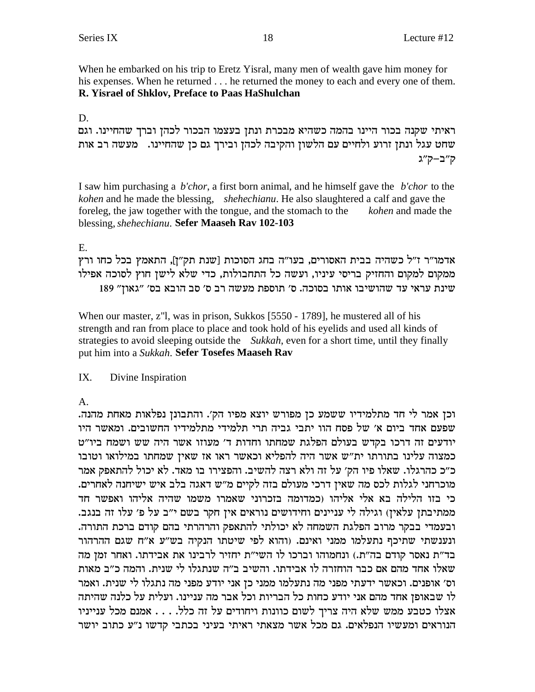When he embarked on his trip to Eretz Yisral, many men of wealth gave him money for his expenses. When he returned . . . he returned the money to each and every one of them. R. Yisrael of Shklov, Preface to Paas HaShulchan

 $D_{\alpha}$ 

ראיתי שקנה בכור היינו בהמה כשהיא מבכרת ונתן בעצמו הבכור לכהן וברך שהחיינו. וגם שחט עגל ונתן זרוע ולחיים עם הלשון והקיבה לכהן ובירך גם כן שהחיינו. מעשה רב אות ק״ב−ק״ג

I saw him purchasing a *b'chor*, a first born animal, and he himself gave the *b'chor* to the kohen and he made the blessing, shehechianu. He also slaughtered a calf and gave the foreleg, the jaw together with the tongue, and the stomach to the *kohen* and made the blessing, shehechianu. Sefer Maaseh Rav 102-103

## $E_{\rm c}$

אדמו"ר ז"ל כשהיה בבית האסורים, בעו"ה בחג הסוכות [שנת תק"ז], התאמץ בכל כחו ורץ ממקום למקום והחזיק בריסי עיניו, ועשה כל התחבולות, כדי שלא לישן חוץ לסוכה אפילו שינת עראי עד שהושיבו אותו בסוכה. ס' תוספת מעשה רב ס' סב הובא בס' "גאון" 189

When our master, z"l, was in prison, Sukkos [5550 - 1789], he mustered all of his strength and ran from place to place and took hold of his eyelids and used all kinds of strategies to avoid sleeping outside the Sukkah, even for a short time, until they finally put him into a Sukkah. Sefer Tosefes Maaseh Rav

#### $IX.$ Divine Inspiration

 $\mathbf{A}$ .

וכן אמר לי חד מתלמידיו ששמע כן מפורש יוצא מפיו הק׳. והתבונן נפלאות מאחת מהנה. שפעם אחד ביום א׳ של פסח הוו יתבי גביה תרי תלמידי מתלמידיו החשובים. ומאשר היו יודעים זה דרכו בקדש בעולם הפלגת שמחתו וחדות ד׳ מעוזו אשר היה שש ושמח ביו״ט כמצוה עלינו בתורתו ית"ש אשר היה להפליא וכאשר ראו אז שאין שמחתו במילואו וטובו כ״כ כהרגלו. שאלו פיו הק׳ על זה ולא רצה להשיב. והפצירו בו מאד. לא יכול להתאפק אמר מוכרחני לגלות לכס מה שאין דרכי מעולם בזה לקיים מ"ש דאגה בלב איש ישיחנה לאחרים. כי בזו הלילה בא אלי אליהו (כמדומה בזכרוני שאמרו משמו שהיה אליהו ואפשר חד ממתיבתן עלאין) וגילה לי עניינים וחידושים נוראים אין חקר בשם י"ב על פ' עלו זה בנגב. ובעמדי בבקר מרוב הפלגת השמחה לא יכולתי להתאפק והרהרתי בהם קודם ברכת התורה. ונענשתי שתיכף נתעלמו ממני ואינם. (והוא לפי שיטתו הנקיה בש״ע א״ח שגם ההרהור בד"ת נאסר קודם בה"ת.) ונחמוהו וברכו לו השי"ת יחזיר לרבינו את אבידתו. ואחר זמן מה שאלו אחד מהם אם כבר הוחזרה לו אבידתו. והשיב ב״ה שנתגלו לי שנית. והמה כ״ב מאות וס׳ אופנים. וכאשר ידעתי מפני מה נתעלמו ממני כן אני יודע מפני מה נתגלו לי שנית. ואמר לו שבאופז אחד מהם אני יודע כחות כל הבריות וכל אבר מה עניינו. ועלית על כלנה שהיתה אצלו כטבע ממש שלא היה צריך לשום כוונות ויחודים על זה כלל. . . . אמנם מכל ענייניו הנוראים ומעשיו הנפלאים. גם מכל אשר מצאתי ראיתי בעיני בכתבי קדשו נ״ע כתוב יושר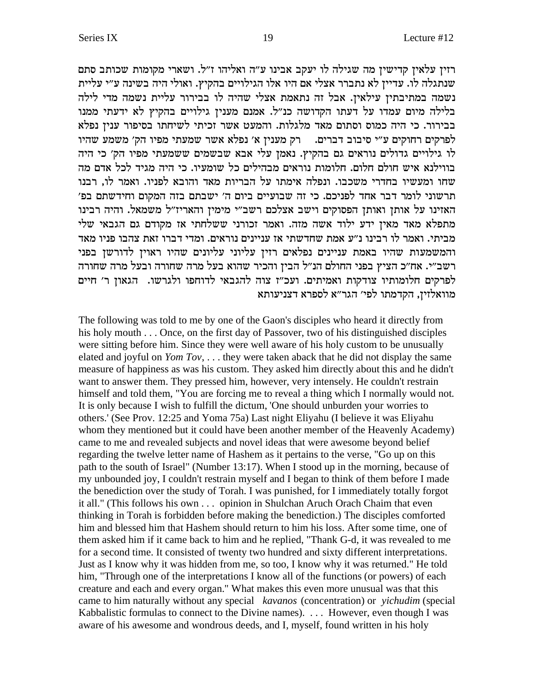רזין עלאין קדישין מה שגילה לו יעקב אבינו ע"ה ואליהו ז"ל. ושארי מקומות שכותב סתם שנתגלה לו. עדיין לא נתברר אצלי אם היו אלו הגילויים בהקיץ. ואולי היה בשינה ע"י עליית נשמה במתיבתין עילאין. אבל זה נתאמת אצלי שהיה לו בבירור עליית נשמה מדי לילה בלילה מיום עמדו על דעתו הקדושה כנ"ל. אמנם מענין גילויים בהקיץ לא ידעתי ממנו בבירור. כי היה כמוס וסתום מאד מלגלות. והמעט אשר זכיתי לשיחתו בסיפור ענין נפלא לפרקים רחוקים ע"י סיבוב דברים. הכן מענין א' נפלא אשר שמעתי מפיו הק' משמע שהיו לו גילויים גדולים נוראים גם בהקיץ. נאמן עלי אבא שבשמים ששמעתי מפיו הק׳ כי היה בווילנא איש חולם חלום. חלומות נוראים מבהילים כל שומעיו. כי היה מגיד לכל אדם מה שחו ומעשיו בחדרי משכבו. ונפלה אימתו על הבריות מאד והובא לפניו. ואמר לו, רבנו תרשוני לומר דבר אחד לפניכם. כי זה שבועיים ביום ה' ישבתם בזה המקום וחידשתם בפ' האזינו על אותן ואותן הפסוקים וישב אצלכם רשב"י מימין והאריז"ל משמאל. והיה רבינו מתפלא מאד מאין ידע ילוד אשה מזה. ואמר זכורני ששלחתי אז מקודם גם הגבאי שלי מביתי. ואמר לו רבינו נ״ע אמת שחדשתי אז עניינים נוראים. ומדי דברו זאת צהבו פניו מאד והמשמעות שהיו באמת עניינים נפלאים רזין עליוני עליונים שהיו ראוין לדורשן בפני רשב״י. אח״כ הציץ בפני החולם הנ״ל הבין והכיר שהוא בעל מרה שחורה ובעל מרה שחורה לפרקים חלומותיו צודקות ואמיתים. ועכ"ז צוה להגבאי לדוחפו ולגרשו. הגאון ר' חיים מוואלזין, הקדמתו לפי׳ הגר״א לספרא דצניעותא

The following was told to me by one of the Gaon's disciples who heard it directly from his holy mouth  $\ldots$  Once, on the first day of Passover, two of his distinguished disciples were sitting before him. Since they were well aware of his holy custom to be unusually elated and joyful on Yom Tov, ... they were taken aback that he did not display the same measure of happiness as was his custom. They asked him directly about this and he didn't want to answer them. They pressed him, however, very intensely. He couldn't restrain himself and told them, "You are forcing me to reveal a thing which I normally would not. It is only because I wish to fulfill the dictum, 'One should unburden your worries to others.' (See Prov. 12:25 and Yoma 75a) Last night Eliyahu (I believe it was Eliyahu whom they mentioned but it could have been another member of the Heavenly Academy) came to me and revealed subjects and novel ideas that were awesome beyond belief regarding the twelve letter name of Hashem as it pertains to the verse, "Go up on this path to the south of Israel" (Number 13:17). When I stood up in the morning, because of my unbounded joy, I couldn't restrain myself and I began to think of them before I made the benediction over the study of Torah. I was punished, for I immediately totally forgot it all." (This follows his own ... opinion in Shulchan Aruch Orach Chaim that even thinking in Torah is forbidden before making the benediction.) The disciples comforted him and blessed him that Hashem should return to him his loss. After some time, one of them asked him if it came back to him and he replied, "Thank G-d, it was revealed to me for a second time. It consisted of twenty two hundred and sixty different interpretations. Just as I know why it was hidden from me, so too, I know why it was returned." He told him, "Through one of the interpretations I know all of the functions (or powers) of each creature and each and every organ." What makes this even more unusual was that this came to him naturally without any special kavanos (concentration) or *yichudim* (special Kabbalistic formulas to connect to the Divine names). ... However, even though I was aware of his awesome and wondrous deeds, and I, myself, found written in his holy